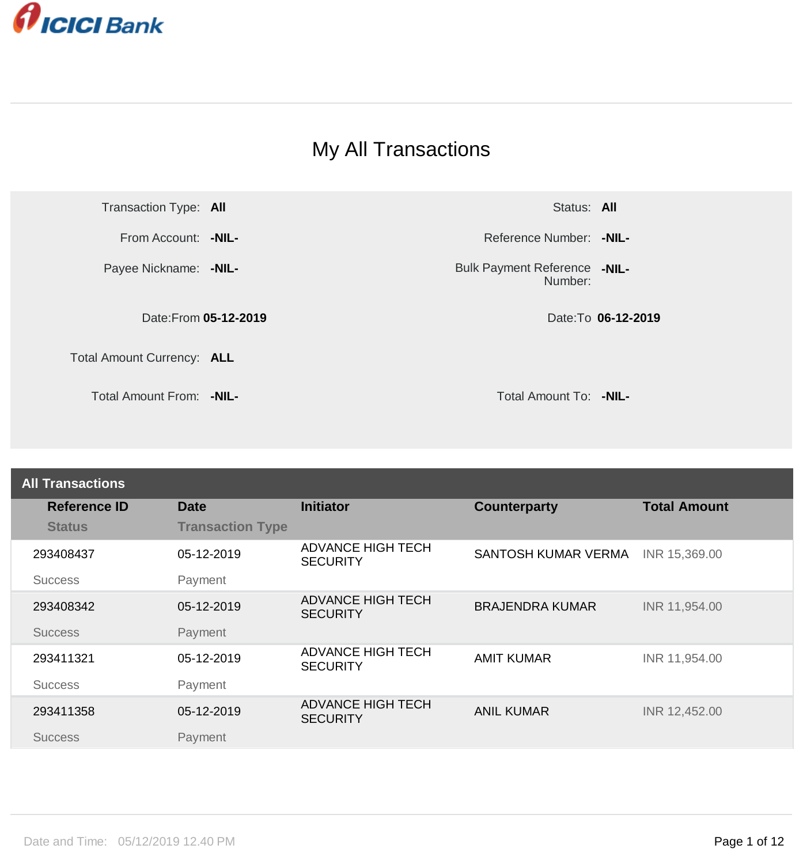

## My All Transactions

Transaction Type: **All** Status: **All** Status: **All** Status: **All** 

Payee Nickname: **-NIL-**

Date:From **05-12-2019** Date:To **06-12-2019**

Total Amount Currency: **ALL**

Total Amount From: **-NIL-** Total Amount To: **-NIL-**

From Account: **-NIL- Allen Account: -NIL- Reference Number: <b>-NIL- Reference Number:** -NIL-

Bulk Payment Reference **-NIL-**Number:

| <b>All Transactions</b> |                         |                                             |                        |                     |
|-------------------------|-------------------------|---------------------------------------------|------------------------|---------------------|
| <b>Reference ID</b>     | <b>Date</b>             | <b>Initiator</b>                            | <b>Counterparty</b>    | <b>Total Amount</b> |
| <b>Status</b>           | <b>Transaction Type</b> |                                             |                        |                     |
| 293408437               | 05-12-2019              | <b>ADVANCE HIGH TECH</b><br><b>SECURITY</b> | SANTOSH KUMAR VERMA    | INR 15,369.00       |
| <b>Success</b>          | Payment                 |                                             |                        |                     |
| 293408342               | 05-12-2019              | <b>ADVANCE HIGH TECH</b><br><b>SECURITY</b> | <b>BRAJENDRA KUMAR</b> | INR 11,954.00       |
| <b>Success</b>          | Payment                 |                                             |                        |                     |
| 293411321               | 05-12-2019              | <b>ADVANCE HIGH TECH</b><br><b>SECURITY</b> | <b>AMIT KUMAR</b>      | INR 11,954.00       |
| <b>Success</b>          | Payment                 |                                             |                        |                     |
| 293411358               | 05-12-2019              | <b>ADVANCE HIGH TECH</b><br><b>SECURITY</b> | <b>ANIL KUMAR</b>      | INR 12,452.00       |
| <b>Success</b>          | Payment                 |                                             |                        |                     |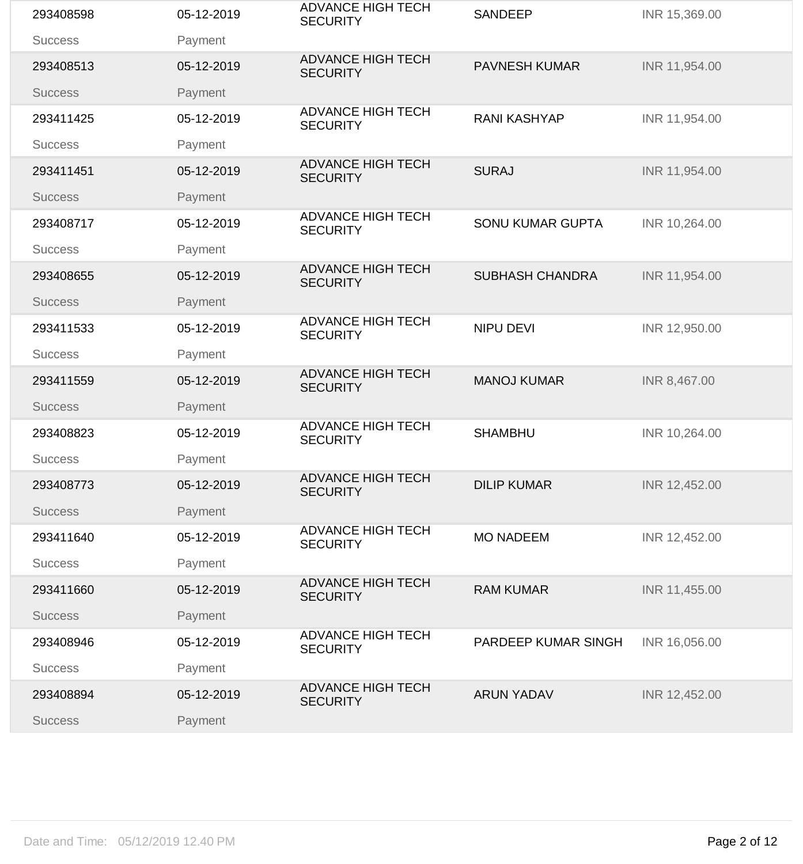| 293408598      | 05-12-2019 | <b>ADVANCE HIGH TECH</b><br><b>SECURITY</b> | <b>SANDEEP</b>          | INR 15,369.00 |
|----------------|------------|---------------------------------------------|-------------------------|---------------|
| <b>Success</b> | Payment    |                                             |                         |               |
| 293408513      | 05-12-2019 | <b>ADVANCE HIGH TECH</b><br><b>SECURITY</b> | <b>PAVNESH KUMAR</b>    | INR 11,954.00 |
| <b>Success</b> | Payment    |                                             |                         |               |
| 293411425      | 05-12-2019 | <b>ADVANCE HIGH TECH</b><br><b>SECURITY</b> | <b>RANI KASHYAP</b>     | INR 11,954.00 |
| <b>Success</b> | Payment    |                                             |                         |               |
| 293411451      | 05-12-2019 | <b>ADVANCE HIGH TECH</b><br><b>SECURITY</b> | <b>SURAJ</b>            | INR 11,954.00 |
| <b>Success</b> | Payment    |                                             |                         |               |
| 293408717      | 05-12-2019 | <b>ADVANCE HIGH TECH</b><br><b>SECURITY</b> | <b>SONU KUMAR GUPTA</b> | INR 10,264.00 |
| <b>Success</b> | Payment    | <b>ADVANCE HIGH TECH</b>                    |                         |               |
| 293408655      | 05-12-2019 | <b>SECURITY</b>                             | <b>SUBHASH CHANDRA</b>  | INR 11,954.00 |
| <b>Success</b> | Payment    |                                             |                         |               |
| 293411533      | 05-12-2019 | <b>ADVANCE HIGH TECH</b><br><b>SECURITY</b> | <b>NIPU DEVI</b>        | INR 12,950.00 |
| <b>Success</b> | Payment    |                                             |                         |               |
| 293411559      | 05-12-2019 | <b>ADVANCE HIGH TECH</b><br><b>SECURITY</b> | <b>MANOJ KUMAR</b>      | INR 8,467.00  |
| <b>Success</b> | Payment    |                                             |                         |               |
| 293408823      | 05-12-2019 | <b>ADVANCE HIGH TECH</b><br><b>SECURITY</b> | <b>SHAMBHU</b>          | INR 10,264.00 |
| <b>Success</b> | Payment    |                                             |                         |               |
| 293408773      | 05-12-2019 | <b>ADVANCE HIGH TECH</b><br><b>SECURITY</b> | <b>DILIP KUMAR</b>      | INR 12,452.00 |
| <b>Success</b> | Payment    |                                             |                         |               |
| 293411640      | 05-12-2019 | <b>ADVANCE HIGH TECH</b><br><b>SECURITY</b> | <b>MO NADEEM</b>        | INR 12,452.00 |
| <b>Success</b> | Payment    |                                             |                         |               |
| 293411660      | 05-12-2019 | <b>ADVANCE HIGH TECH</b><br><b>SECURITY</b> | <b>RAM KUMAR</b>        | INR 11,455.00 |
| <b>Success</b> | Payment    |                                             |                         |               |
| 293408946      | 05-12-2019 | <b>ADVANCE HIGH TECH</b><br><b>SECURITY</b> | PARDEEP KUMAR SINGH     | INR 16,056.00 |
| <b>Success</b> | Payment    |                                             |                         |               |
| 293408894      | 05-12-2019 | <b>ADVANCE HIGH TECH</b><br><b>SECURITY</b> | <b>ARUN YADAV</b>       | INR 12,452.00 |
| <b>Success</b> | Payment    |                                             |                         |               |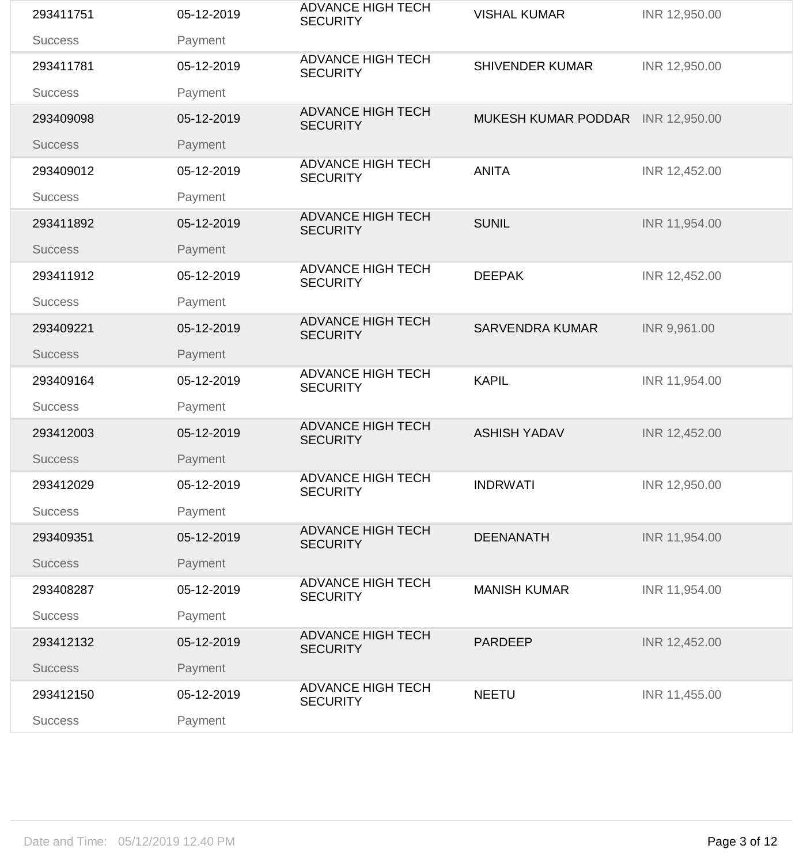| 293411751      | 05-12-2019 | <b>ADVANCE HIGH TECH</b><br><b>SECURITY</b> | <b>VISHAL KUMAR</b>               | INR 12,950.00 |
|----------------|------------|---------------------------------------------|-----------------------------------|---------------|
| <b>Success</b> | Payment    |                                             |                                   |               |
| 293411781      | 05-12-2019 | <b>ADVANCE HIGH TECH</b><br><b>SECURITY</b> | <b>SHIVENDER KUMAR</b>            | INR 12,950.00 |
| <b>Success</b> | Payment    |                                             |                                   |               |
| 293409098      | 05-12-2019 | <b>ADVANCE HIGH TECH</b><br><b>SECURITY</b> | MUKESH KUMAR PODDAR INR 12,950.00 |               |
| <b>Success</b> | Payment    |                                             |                                   |               |
| 293409012      | 05-12-2019 | <b>ADVANCE HIGH TECH</b><br><b>SECURITY</b> | <b>ANITA</b>                      | INR 12,452.00 |
| <b>Success</b> | Payment    |                                             |                                   |               |
| 293411892      | 05-12-2019 | <b>ADVANCE HIGH TECH</b><br><b>SECURITY</b> | <b>SUNIL</b>                      | INR 11,954.00 |
| <b>Success</b> | Payment    |                                             |                                   |               |
| 293411912      | 05-12-2019 | <b>ADVANCE HIGH TECH</b><br><b>SECURITY</b> | <b>DEEPAK</b>                     | INR 12,452.00 |
| <b>Success</b> | Payment    |                                             |                                   |               |
| 293409221      | 05-12-2019 | <b>ADVANCE HIGH TECH</b><br><b>SECURITY</b> | <b>SARVENDRA KUMAR</b>            | INR 9,961.00  |
| <b>Success</b> | Payment    |                                             |                                   |               |
| 293409164      | 05-12-2019 | <b>ADVANCE HIGH TECH</b><br><b>SECURITY</b> | <b>KAPIL</b>                      | INR 11,954.00 |
| <b>Success</b> | Payment    |                                             |                                   |               |
| 293412003      | 05-12-2019 | <b>ADVANCE HIGH TECH</b><br><b>SECURITY</b> | <b>ASHISH YADAV</b>               | INR 12,452.00 |
| <b>Success</b> | Payment    |                                             |                                   |               |
| 293412029      | 05-12-2019 | <b>ADVANCE HIGH TECH</b><br><b>SECURITY</b> | <b>INDRWATI</b>                   | INR 12,950.00 |
| <b>Success</b> | Payment    |                                             |                                   |               |
| 293409351      | 05-12-2019 | <b>ADVANCE HIGH TECH</b><br><b>SECURITY</b> | <b>DEENANATH</b>                  | INR 11,954.00 |
| <b>Success</b> | Payment    |                                             |                                   |               |
| 293408287      | 05-12-2019 | <b>ADVANCE HIGH TECH</b><br><b>SECURITY</b> | <b>MANISH KUMAR</b>               | INR 11,954.00 |
| <b>Success</b> | Payment    |                                             |                                   |               |
| 293412132      | 05-12-2019 | <b>ADVANCE HIGH TECH</b><br><b>SECURITY</b> | <b>PARDEEP</b>                    | INR 12,452.00 |
| <b>Success</b> | Payment    |                                             |                                   |               |
| 293412150      | 05-12-2019 | <b>ADVANCE HIGH TECH</b><br><b>SECURITY</b> | <b>NEETU</b>                      | INR 11,455.00 |
| <b>Success</b> | Payment    |                                             |                                   |               |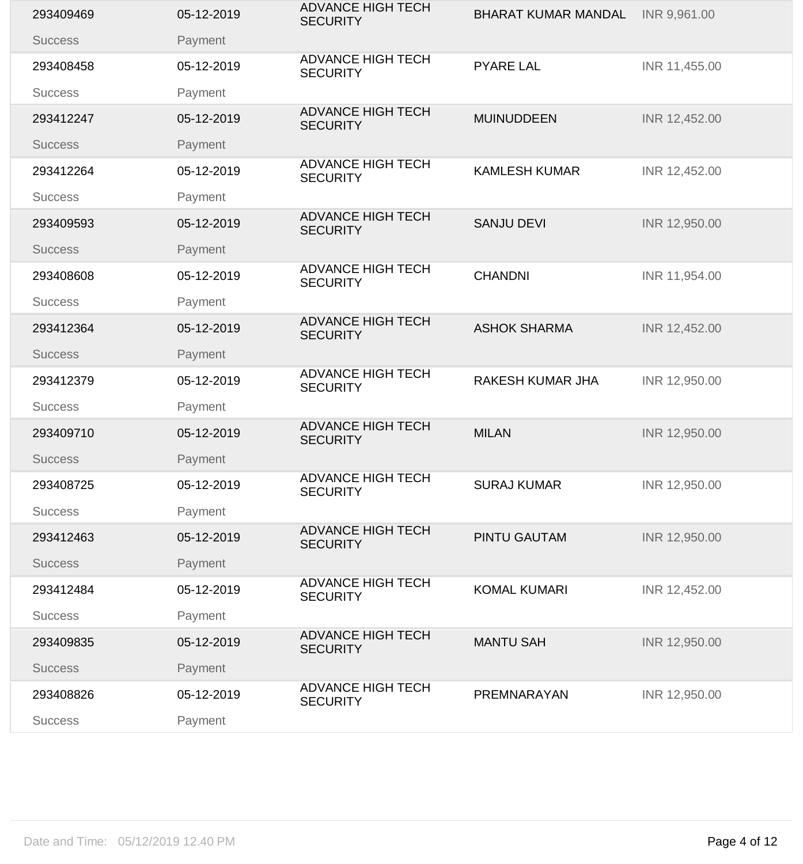| 293409469      | 05-12-2019 | <b>ADVANCE HIGH TECH</b><br><b>SECURITY</b> | <b>BHARAT KUMAR MANDAL</b> | INR 9,961.00  |
|----------------|------------|---------------------------------------------|----------------------------|---------------|
| <b>Success</b> | Payment    |                                             |                            |               |
| 293408458      | 05-12-2019 | <b>ADVANCE HIGH TECH</b><br><b>SECURITY</b> | <b>PYARE LAL</b>           | INR 11,455.00 |
| <b>Success</b> | Payment    |                                             |                            |               |
| 293412247      | 05-12-2019 | <b>ADVANCE HIGH TECH</b><br><b>SECURITY</b> | <b>MUINUDDEEN</b>          | INR 12,452.00 |
| <b>Success</b> | Payment    |                                             |                            |               |
| 293412264      | 05-12-2019 | <b>ADVANCE HIGH TECH</b><br><b>SECURITY</b> | <b>KAMLESH KUMAR</b>       | INR 12,452.00 |
| <b>Success</b> | Payment    |                                             |                            |               |
| 293409593      | 05-12-2019 | <b>ADVANCE HIGH TECH</b><br><b>SECURITY</b> | <b>SANJU DEVI</b>          | INR 12,950.00 |
| <b>Success</b> | Payment    |                                             |                            |               |
| 293408608      | 05-12-2019 | <b>ADVANCE HIGH TECH</b><br><b>SECURITY</b> | <b>CHANDNI</b>             | INR 11,954.00 |
| <b>Success</b> | Payment    |                                             |                            |               |
| 293412364      | 05-12-2019 | <b>ADVANCE HIGH TECH</b><br><b>SECURITY</b> | <b>ASHOK SHARMA</b>        | INR 12,452.00 |
| <b>Success</b> | Payment    |                                             |                            |               |
| 293412379      | 05-12-2019 | <b>ADVANCE HIGH TECH</b><br><b>SECURITY</b> | <b>RAKESH KUMAR JHA</b>    | INR 12,950.00 |
| <b>Success</b> | Payment    |                                             |                            |               |
| 293409710      | 05-12-2019 | <b>ADVANCE HIGH TECH</b><br><b>SECURITY</b> | <b>MILAN</b>               | INR 12,950.00 |
| <b>Success</b> | Payment    |                                             |                            |               |
| 293408725      | 05-12-2019 | <b>ADVANCE HIGH TECH</b><br><b>SECURITY</b> | <b>SURAJ KUMAR</b>         | INR 12,950.00 |
| <b>Success</b> | Payment    |                                             |                            |               |
| 293412463      | 05-12-2019 | <b>ADVANCE HIGH TECH</b><br><b>SECURITY</b> | <b>PINTU GAUTAM</b>        | INR 12,950.00 |
| <b>Success</b> | Payment    |                                             |                            |               |
| 293412484      | 05-12-2019 | <b>ADVANCE HIGH TECH</b><br><b>SECURITY</b> | <b>KOMAL KUMARI</b>        | INR 12,452.00 |
| <b>Success</b> | Payment    |                                             |                            |               |
| 293409835      | 05-12-2019 | <b>ADVANCE HIGH TECH</b><br><b>SECURITY</b> | <b>MANTU SAH</b>           | INR 12,950.00 |
| <b>Success</b> | Payment    |                                             |                            |               |
| 293408826      | 05-12-2019 | <b>ADVANCE HIGH TECH</b><br><b>SECURITY</b> | PREMNARAYAN                | INR 12,950.00 |
| <b>Success</b> | Payment    |                                             |                            |               |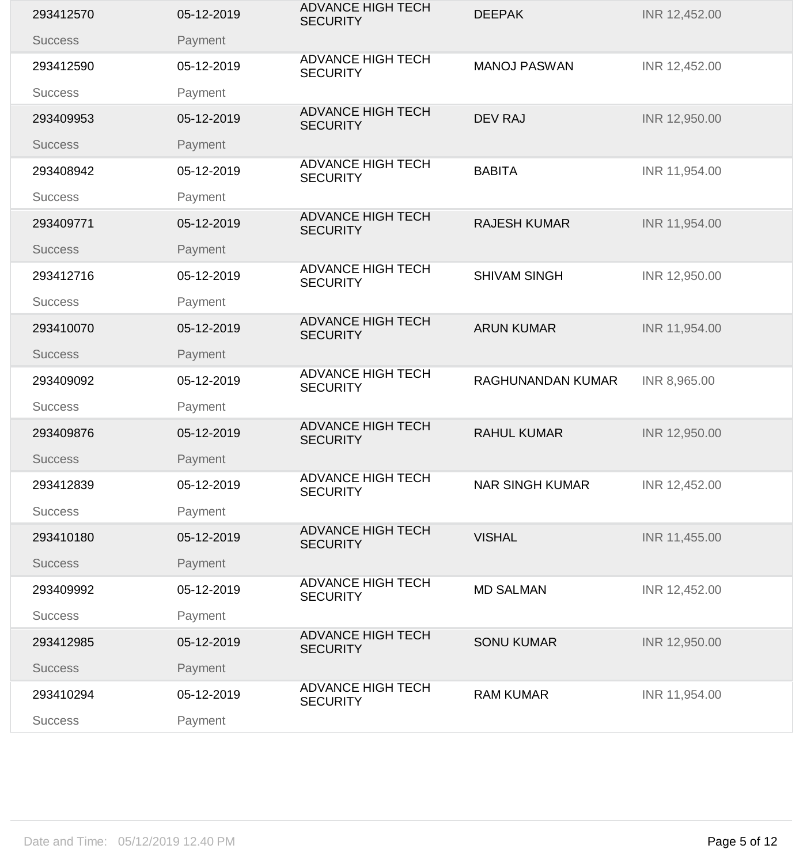| 293412570      | 05-12-2019 | <b>ADVANCE HIGH TECH</b><br><b>SECURITY</b> | <b>DEEPAK</b>            | INR 12,452.00 |
|----------------|------------|---------------------------------------------|--------------------------|---------------|
| <b>Success</b> | Payment    |                                             |                          |               |
| 293412590      | 05-12-2019 | <b>ADVANCE HIGH TECH</b><br><b>SECURITY</b> | <b>MANOJ PASWAN</b>      | INR 12,452.00 |
| <b>Success</b> | Payment    |                                             |                          |               |
| 293409953      | 05-12-2019 | <b>ADVANCE HIGH TECH</b><br><b>SECURITY</b> | <b>DEV RAJ</b>           | INR 12,950.00 |
| <b>Success</b> | Payment    |                                             |                          |               |
| 293408942      | 05-12-2019 | <b>ADVANCE HIGH TECH</b><br><b>SECURITY</b> | <b>BABITA</b>            | INR 11,954.00 |
| <b>Success</b> | Payment    |                                             |                          |               |
| 293409771      | 05-12-2019 | <b>ADVANCE HIGH TECH</b><br><b>SECURITY</b> | <b>RAJESH KUMAR</b>      | INR 11,954.00 |
| <b>Success</b> | Payment    |                                             |                          |               |
| 293412716      | 05-12-2019 | <b>ADVANCE HIGH TECH</b><br><b>SECURITY</b> | <b>SHIVAM SINGH</b>      | INR 12,950.00 |
| <b>Success</b> | Payment    |                                             |                          |               |
| 293410070      | 05-12-2019 | <b>ADVANCE HIGH TECH</b><br><b>SECURITY</b> | <b>ARUN KUMAR</b>        | INR 11,954.00 |
| <b>Success</b> | Payment    |                                             |                          |               |
| 293409092      | 05-12-2019 | <b>ADVANCE HIGH TECH</b><br><b>SECURITY</b> | <b>RAGHUNANDAN KUMAR</b> | INR 8,965.00  |
| <b>Success</b> | Payment    |                                             |                          |               |
| 293409876      | 05-12-2019 | <b>ADVANCE HIGH TECH</b><br><b>SECURITY</b> | <b>RAHUL KUMAR</b>       | INR 12,950.00 |
| <b>Success</b> | Payment    |                                             |                          |               |
| 293412839      | 05-12-2019 | <b>ADVANCE HIGH TECH</b><br><b>SECURITY</b> | <b>NAR SINGH KUMAR</b>   | INR 12,452.00 |
| <b>Success</b> | Payment    |                                             |                          |               |
| 293410180      | 05-12-2019 | <b>ADVANCE HIGH TECH</b><br><b>SECURITY</b> | <b>VISHAL</b>            | INR 11,455.00 |
| <b>Success</b> | Payment    |                                             |                          |               |
| 293409992      | 05-12-2019 | <b>ADVANCE HIGH TECH</b><br><b>SECURITY</b> | <b>MD SALMAN</b>         | INR 12,452.00 |
| <b>Success</b> | Payment    |                                             |                          |               |
| 293412985      | 05-12-2019 | <b>ADVANCE HIGH TECH</b><br><b>SECURITY</b> | <b>SONU KUMAR</b>        | INR 12,950.00 |
| <b>Success</b> | Payment    |                                             |                          |               |
| 293410294      | 05-12-2019 | <b>ADVANCE HIGH TECH</b><br><b>SECURITY</b> | <b>RAM KUMAR</b>         | INR 11,954.00 |
| <b>Success</b> | Payment    |                                             |                          |               |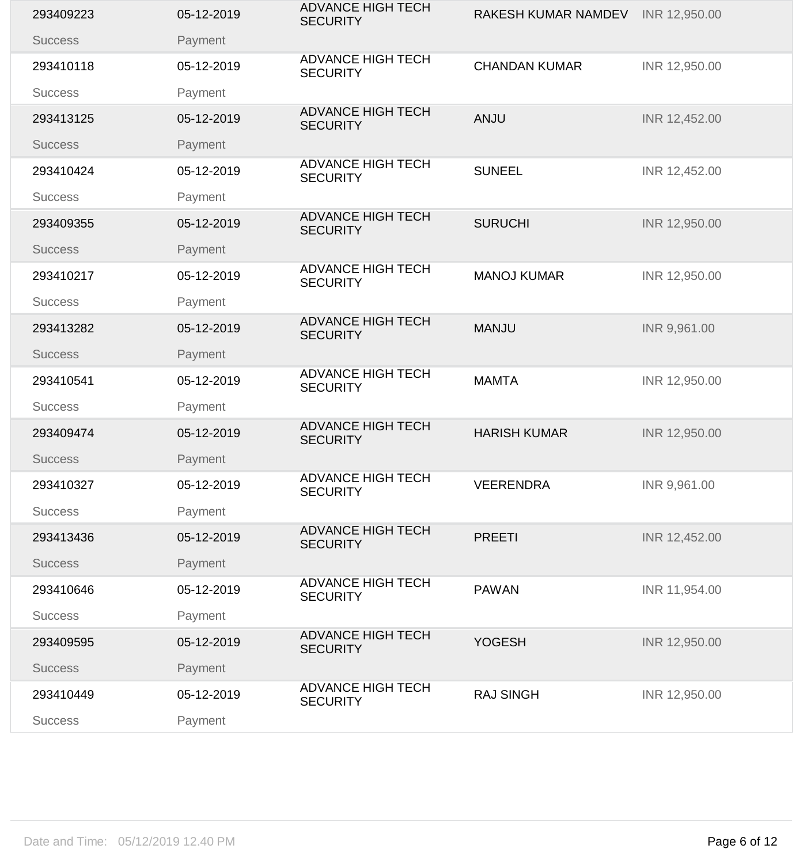| 293409223      | 05-12-2019 | <b>ADVANCE HIGH TECH</b><br><b>SECURITY</b> | <b>RAKESH KUMAR NAMDEV</b> | INR 12,950.00 |
|----------------|------------|---------------------------------------------|----------------------------|---------------|
| <b>Success</b> | Payment    |                                             |                            |               |
| 293410118      | 05-12-2019 | <b>ADVANCE HIGH TECH</b><br><b>SECURITY</b> | <b>CHANDAN KUMAR</b>       | INR 12,950.00 |
| <b>Success</b> | Payment    |                                             |                            |               |
| 293413125      | 05-12-2019 | <b>ADVANCE HIGH TECH</b><br><b>SECURITY</b> | <b>ANJU</b>                | INR 12,452.00 |
| <b>Success</b> | Payment    |                                             |                            |               |
| 293410424      | 05-12-2019 | <b>ADVANCE HIGH TECH</b><br><b>SECURITY</b> | <b>SUNEEL</b>              | INR 12,452.00 |
| <b>Success</b> | Payment    |                                             |                            |               |
| 293409355      | 05-12-2019 | <b>ADVANCE HIGH TECH</b><br><b>SECURITY</b> | <b>SURUCHI</b>             | INR 12,950.00 |
| <b>Success</b> | Payment    |                                             |                            |               |
| 293410217      | 05-12-2019 | <b>ADVANCE HIGH TECH</b><br><b>SECURITY</b> | <b>MANOJ KUMAR</b>         | INR 12,950.00 |
| <b>Success</b> | Payment    |                                             |                            |               |
| 293413282      | 05-12-2019 | <b>ADVANCE HIGH TECH</b><br><b>SECURITY</b> | <b>MANJU</b>               | INR 9,961.00  |
| <b>Success</b> | Payment    |                                             |                            |               |
| 293410541      | 05-12-2019 | <b>ADVANCE HIGH TECH</b><br><b>SECURITY</b> | <b>MAMTA</b>               | INR 12,950.00 |
| <b>Success</b> | Payment    |                                             |                            |               |
| 293409474      | 05-12-2019 | <b>ADVANCE HIGH TECH</b><br><b>SECURITY</b> | <b>HARISH KUMAR</b>        | INR 12,950.00 |
| <b>Success</b> | Payment    |                                             |                            |               |
| 293410327      | 05-12-2019 | <b>ADVANCE HIGH TECH</b><br><b>SECURITY</b> | <b>VEERENDRA</b>           | INR 9,961.00  |
| <b>Success</b> | Payment    |                                             |                            |               |
| 293413436      | 05-12-2019 | <b>ADVANCE HIGH TECH</b><br><b>SECURITY</b> | <b>PREETI</b>              | INR 12,452.00 |
| <b>Success</b> | Payment    |                                             |                            |               |
| 293410646      | 05-12-2019 | <b>ADVANCE HIGH TECH</b><br><b>SECURITY</b> | <b>PAWAN</b>               | INR 11,954.00 |
| <b>Success</b> | Payment    |                                             |                            |               |
| 293409595      | 05-12-2019 | <b>ADVANCE HIGH TECH</b><br><b>SECURITY</b> | <b>YOGESH</b>              | INR 12,950.00 |
| <b>Success</b> | Payment    |                                             |                            |               |
| 293410449      | 05-12-2019 | <b>ADVANCE HIGH TECH</b><br><b>SECURITY</b> | <b>RAJ SINGH</b>           | INR 12,950.00 |
| <b>Success</b> | Payment    |                                             |                            |               |
|                |            |                                             |                            |               |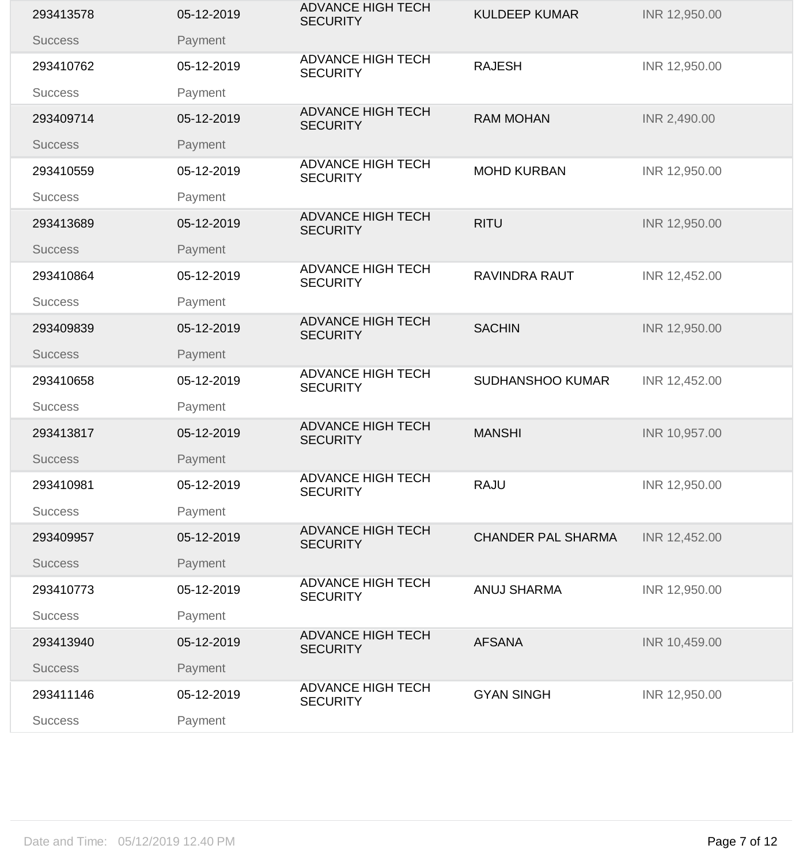| 293413578      | 05-12-2019 | <b>ADVANCE HIGH TECH</b><br><b>SECURITY</b> | <b>KULDEEP KUMAR</b>      | INR 12,950.00 |
|----------------|------------|---------------------------------------------|---------------------------|---------------|
| <b>Success</b> | Payment    |                                             |                           |               |
| 293410762      | 05-12-2019 | <b>ADVANCE HIGH TECH</b><br><b>SECURITY</b> | <b>RAJESH</b>             | INR 12,950.00 |
| <b>Success</b> | Payment    |                                             |                           |               |
| 293409714      | 05-12-2019 | <b>ADVANCE HIGH TECH</b><br><b>SECURITY</b> | <b>RAM MOHAN</b>          | INR 2,490.00  |
| <b>Success</b> | Payment    |                                             |                           |               |
| 293410559      | 05-12-2019 | <b>ADVANCE HIGH TECH</b><br><b>SECURITY</b> | <b>MOHD KURBAN</b>        | INR 12,950.00 |
| <b>Success</b> | Payment    |                                             |                           |               |
| 293413689      | 05-12-2019 | <b>ADVANCE HIGH TECH</b><br><b>SECURITY</b> | <b>RITU</b>               | INR 12,950.00 |
| <b>Success</b> | Payment    |                                             |                           |               |
| 293410864      | 05-12-2019 | <b>ADVANCE HIGH TECH</b><br><b>SECURITY</b> | <b>RAVINDRA RAUT</b>      | INR 12,452.00 |
| <b>Success</b> | Payment    |                                             |                           |               |
| 293409839      | 05-12-2019 | <b>ADVANCE HIGH TECH</b><br><b>SECURITY</b> | <b>SACHIN</b>             | INR 12,950.00 |
| <b>Success</b> | Payment    |                                             |                           |               |
| 293410658      | 05-12-2019 | <b>ADVANCE HIGH TECH</b><br><b>SECURITY</b> | <b>SUDHANSHOO KUMAR</b>   | INR 12,452.00 |
| <b>Success</b> | Payment    |                                             |                           |               |
| 293413817      | 05-12-2019 | <b>ADVANCE HIGH TECH</b><br><b>SECURITY</b> | <b>MANSHI</b>             | INR 10,957.00 |
| <b>Success</b> | Payment    |                                             |                           |               |
| 293410981      | 05-12-2019 | <b>ADVANCE HIGH TECH</b><br><b>SECURITY</b> | <b>RAJU</b>               | INR 12,950.00 |
| <b>Success</b> | Payment    |                                             |                           |               |
| 293409957      | 05-12-2019 | <b>ADVANCE HIGH TECH</b><br><b>SECURITY</b> | <b>CHANDER PAL SHARMA</b> | INR 12,452.00 |
| <b>Success</b> | Payment    |                                             |                           |               |
| 293410773      | 05-12-2019 | <b>ADVANCE HIGH TECH</b><br><b>SECURITY</b> | <b>ANUJ SHARMA</b>        | INR 12,950.00 |
| <b>Success</b> | Payment    |                                             |                           |               |
| 293413940      | 05-12-2019 | <b>ADVANCE HIGH TECH</b><br><b>SECURITY</b> | <b>AFSANA</b>             | INR 10,459.00 |
| <b>Success</b> | Payment    |                                             |                           |               |
| 293411146      | 05-12-2019 | <b>ADVANCE HIGH TECH</b><br><b>SECURITY</b> | <b>GYAN SINGH</b>         | INR 12,950.00 |
| <b>Success</b> | Payment    |                                             |                           |               |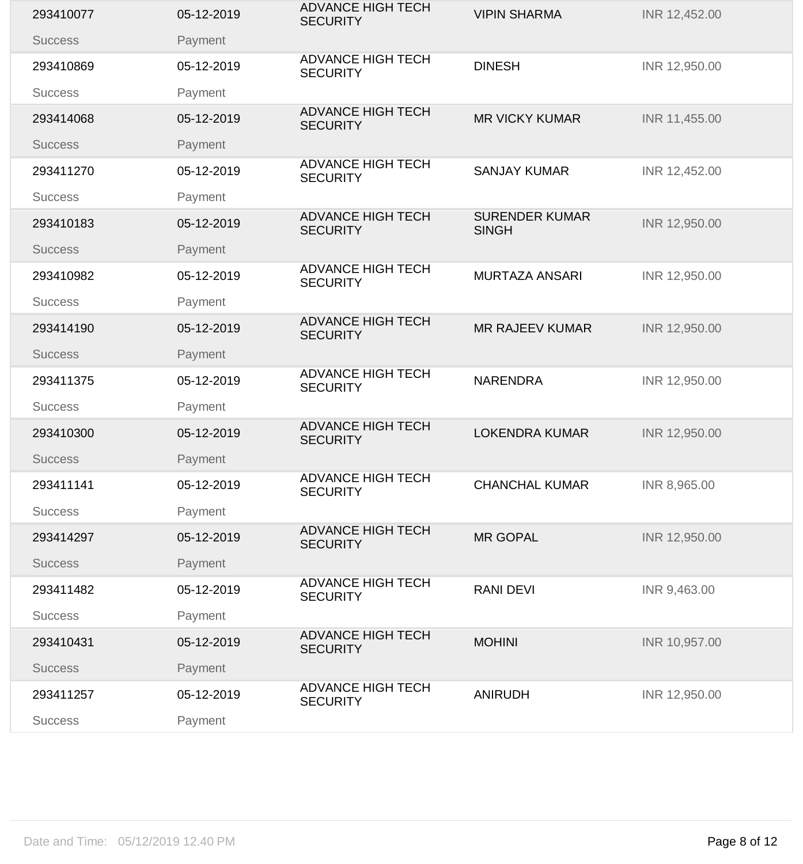| 293410077      | 05-12-2019 | <b>ADVANCE HIGH TECH</b><br><b>SECURITY</b> | <b>VIPIN SHARMA</b>                   | INR 12,452.00 |
|----------------|------------|---------------------------------------------|---------------------------------------|---------------|
| <b>Success</b> | Payment    |                                             |                                       |               |
| 293410869      | 05-12-2019 | <b>ADVANCE HIGH TECH</b><br><b>SECURITY</b> | <b>DINESH</b>                         | INR 12,950.00 |
| <b>Success</b> | Payment    |                                             |                                       |               |
| 293414068      | 05-12-2019 | <b>ADVANCE HIGH TECH</b><br><b>SECURITY</b> | <b>MR VICKY KUMAR</b>                 | INR 11,455.00 |
| <b>Success</b> | Payment    |                                             |                                       |               |
| 293411270      | 05-12-2019 | <b>ADVANCE HIGH TECH</b><br><b>SECURITY</b> | <b>SANJAY KUMAR</b>                   | INR 12,452.00 |
| <b>Success</b> | Payment    |                                             |                                       |               |
| 293410183      | 05-12-2019 | <b>ADVANCE HIGH TECH</b><br><b>SECURITY</b> | <b>SURENDER KUMAR</b><br><b>SINGH</b> | INR 12,950.00 |
| <b>Success</b> | Payment    |                                             |                                       |               |
| 293410982      | 05-12-2019 | <b>ADVANCE HIGH TECH</b><br><b>SECURITY</b> | <b>MURTAZA ANSARI</b>                 | INR 12,950.00 |
| <b>Success</b> | Payment    |                                             |                                       |               |
| 293414190      | 05-12-2019 | <b>ADVANCE HIGH TECH</b><br><b>SECURITY</b> | <b>MR RAJEEV KUMAR</b>                | INR 12,950.00 |
| <b>Success</b> | Payment    |                                             |                                       |               |
| 293411375      | 05-12-2019 | <b>ADVANCE HIGH TECH</b><br><b>SECURITY</b> | <b>NARENDRA</b>                       | INR 12,950.00 |
| <b>Success</b> | Payment    |                                             |                                       |               |
| 293410300      | 05-12-2019 | <b>ADVANCE HIGH TECH</b><br><b>SECURITY</b> | <b>LOKENDRA KUMAR</b>                 | INR 12,950.00 |
| <b>Success</b> | Payment    |                                             |                                       |               |
| 293411141      | 05-12-2019 | <b>ADVANCE HIGH TECH</b><br><b>SECURITY</b> | <b>CHANCHAL KUMAR</b>                 | INR 8,965.00  |
| <b>Success</b> | Payment    |                                             |                                       |               |
| 293414297      | 05-12-2019 | <b>ADVANCE HIGH TECH</b><br><b>SECURITY</b> | <b>MR GOPAL</b>                       | INR 12,950.00 |
| <b>Success</b> | Payment    |                                             |                                       |               |
| 293411482      | 05-12-2019 | <b>ADVANCE HIGH TECH</b><br><b>SECURITY</b> | <b>RANI DEVI</b>                      | INR 9,463.00  |
| <b>Success</b> | Payment    |                                             |                                       |               |
| 293410431      | 05-12-2019 | <b>ADVANCE HIGH TECH</b><br><b>SECURITY</b> | <b>MOHINI</b>                         | INR 10,957.00 |
| <b>Success</b> | Payment    |                                             |                                       |               |
| 293411257      | 05-12-2019 | <b>ADVANCE HIGH TECH</b><br><b>SECURITY</b> | <b>ANIRUDH</b>                        | INR 12,950.00 |
| <b>Success</b> | Payment    |                                             |                                       |               |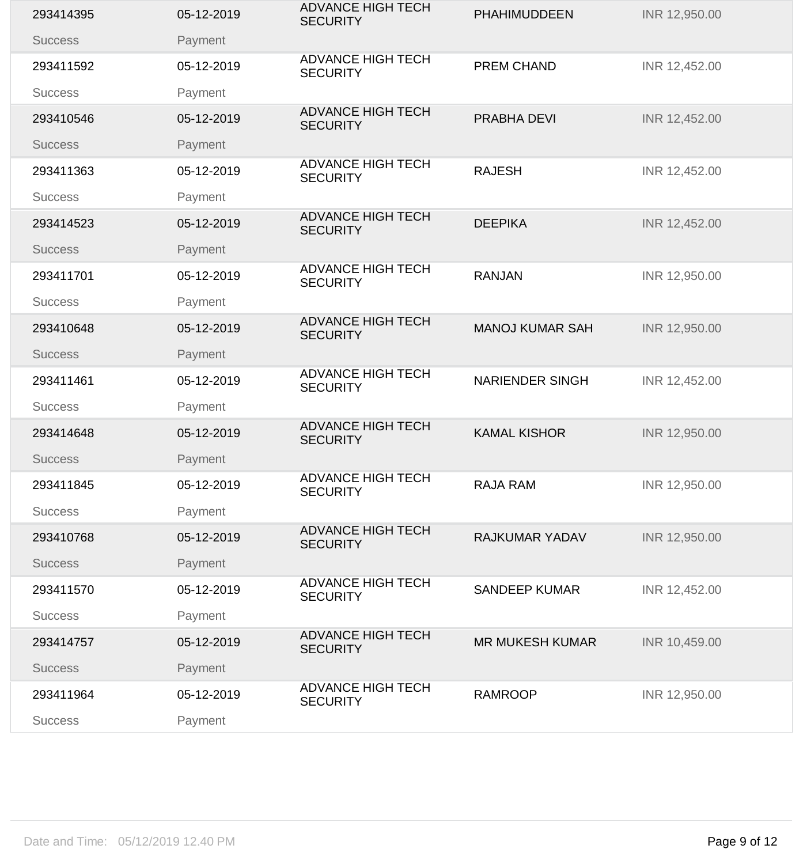| 293414395      | 05-12-2019 | <b>ADVANCE HIGH TECH</b><br><b>SECURITY</b> | <b>PHAHIMUDDEEN</b>    | INR 12,950.00 |
|----------------|------------|---------------------------------------------|------------------------|---------------|
| <b>Success</b> | Payment    |                                             |                        |               |
| 293411592      | 05-12-2019 | <b>ADVANCE HIGH TECH</b><br><b>SECURITY</b> | <b>PREM CHAND</b>      | INR 12,452.00 |
| <b>Success</b> | Payment    |                                             |                        |               |
| 293410546      | 05-12-2019 | <b>ADVANCE HIGH TECH</b><br><b>SECURITY</b> | PRABHA DEVI            | INR 12,452.00 |
| <b>Success</b> | Payment    |                                             |                        |               |
| 293411363      | 05-12-2019 | <b>ADVANCE HIGH TECH</b><br><b>SECURITY</b> | <b>RAJESH</b>          | INR 12,452.00 |
| <b>Success</b> | Payment    |                                             |                        |               |
| 293414523      | 05-12-2019 | <b>ADVANCE HIGH TECH</b><br><b>SECURITY</b> | <b>DEEPIKA</b>         | INR 12,452.00 |
| <b>Success</b> | Payment    |                                             |                        |               |
| 293411701      | 05-12-2019 | <b>ADVANCE HIGH TECH</b><br><b>SECURITY</b> | <b>RANJAN</b>          | INR 12,950.00 |
| <b>Success</b> | Payment    |                                             |                        |               |
| 293410648      | 05-12-2019 | <b>ADVANCE HIGH TECH</b><br><b>SECURITY</b> | <b>MANOJ KUMAR SAH</b> | INR 12,950.00 |
| <b>Success</b> | Payment    |                                             |                        |               |
| 293411461      | 05-12-2019 | <b>ADVANCE HIGH TECH</b><br><b>SECURITY</b> | <b>NARIENDER SINGH</b> | INR 12,452.00 |
| <b>Success</b> | Payment    |                                             |                        |               |
| 293414648      | 05-12-2019 | <b>ADVANCE HIGH TECH</b><br><b>SECURITY</b> | <b>KAMAL KISHOR</b>    | INR 12,950.00 |
| <b>Success</b> | Payment    |                                             |                        |               |
| 293411845      | 05-12-2019 | <b>ADVANCE HIGH TECH</b><br><b>SECURITY</b> | <b>RAJA RAM</b>        | INR 12,950.00 |
| <b>Success</b> | Payment    |                                             |                        |               |
| 293410768      | 05-12-2019 | <b>ADVANCE HIGH TECH</b><br><b>SECURITY</b> | <b>RAJKUMAR YADAV</b>  | INR 12,950.00 |
| <b>Success</b> | Payment    |                                             |                        |               |
| 293411570      | 05-12-2019 | <b>ADVANCE HIGH TECH</b><br><b>SECURITY</b> | <b>SANDEEP KUMAR</b>   | INR 12,452.00 |
| <b>Success</b> | Payment    |                                             |                        |               |
| 293414757      | 05-12-2019 | <b>ADVANCE HIGH TECH</b><br><b>SECURITY</b> | <b>MR MUKESH KUMAR</b> | INR 10,459.00 |
| <b>Success</b> | Payment    |                                             |                        |               |
| 293411964      | 05-12-2019 | <b>ADVANCE HIGH TECH</b><br><b>SECURITY</b> | <b>RAMROOP</b>         | INR 12,950.00 |
| <b>Success</b> | Payment    |                                             |                        |               |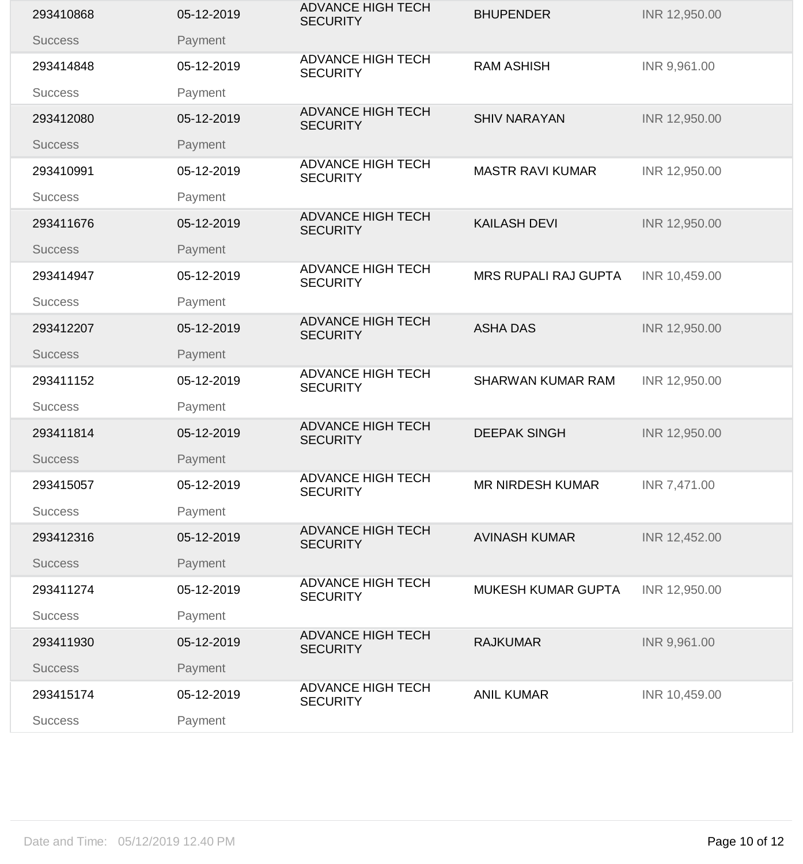| 293410868      | 05-12-2019 | <b>ADVANCE HIGH TECH</b><br><b>SECURITY</b> | <b>BHUPENDER</b>            | INR 12,950.00 |
|----------------|------------|---------------------------------------------|-----------------------------|---------------|
| <b>Success</b> | Payment    |                                             |                             |               |
| 293414848      | 05-12-2019 | <b>ADVANCE HIGH TECH</b><br><b>SECURITY</b> | <b>RAM ASHISH</b>           | INR 9,961.00  |
| <b>Success</b> | Payment    |                                             |                             |               |
| 293412080      | 05-12-2019 | <b>ADVANCE HIGH TECH</b><br><b>SECURITY</b> | <b>SHIV NARAYAN</b>         | INR 12,950.00 |
| <b>Success</b> | Payment    |                                             |                             |               |
| 293410991      | 05-12-2019 | <b>ADVANCE HIGH TECH</b><br><b>SECURITY</b> | <b>MASTR RAVI KUMAR</b>     | INR 12,950.00 |
| <b>Success</b> | Payment    |                                             |                             |               |
| 293411676      | 05-12-2019 | <b>ADVANCE HIGH TECH</b><br><b>SECURITY</b> | <b>KAILASH DEVI</b>         | INR 12,950.00 |
| <b>Success</b> | Payment    |                                             |                             |               |
| 293414947      | 05-12-2019 | <b>ADVANCE HIGH TECH</b><br><b>SECURITY</b> | <b>MRS RUPALI RAJ GUPTA</b> | INR 10,459.00 |
| <b>Success</b> | Payment    |                                             |                             |               |
| 293412207      | 05-12-2019 | <b>ADVANCE HIGH TECH</b><br><b>SECURITY</b> | <b>ASHA DAS</b>             | INR 12,950.00 |
| <b>Success</b> | Payment    |                                             |                             |               |
| 293411152      | 05-12-2019 | <b>ADVANCE HIGH TECH</b><br><b>SECURITY</b> | <b>SHARWAN KUMAR RAM</b>    | INR 12,950.00 |
| <b>Success</b> | Payment    |                                             |                             |               |
| 293411814      | 05-12-2019 | <b>ADVANCE HIGH TECH</b><br><b>SECURITY</b> | <b>DEEPAK SINGH</b>         | INR 12,950.00 |
| <b>Success</b> | Payment    |                                             |                             |               |
| 293415057      | 05-12-2019 | <b>ADVANCE HIGH TECH</b><br><b>SECURITY</b> | <b>MR NIRDESH KUMAR</b>     | INR 7,471.00  |
| <b>Success</b> | Payment    |                                             |                             |               |
| 293412316      | 05-12-2019 | <b>ADVANCE HIGH TECH</b><br><b>SECURITY</b> | <b>AVINASH KUMAR</b>        | INR 12,452.00 |
| <b>Success</b> | Payment    |                                             |                             |               |
| 293411274      | 05-12-2019 | <b>ADVANCE HIGH TECH</b><br><b>SECURITY</b> | <b>MUKESH KUMAR GUPTA</b>   | INR 12,950.00 |
| <b>Success</b> | Payment    |                                             |                             |               |
| 293411930      | 05-12-2019 | <b>ADVANCE HIGH TECH</b><br><b>SECURITY</b> | <b>RAJKUMAR</b>             | INR 9,961.00  |
| <b>Success</b> | Payment    |                                             |                             |               |
| 293415174      | 05-12-2019 | <b>ADVANCE HIGH TECH</b><br><b>SECURITY</b> | <b>ANIL KUMAR</b>           | INR 10,459.00 |
| <b>Success</b> | Payment    |                                             |                             |               |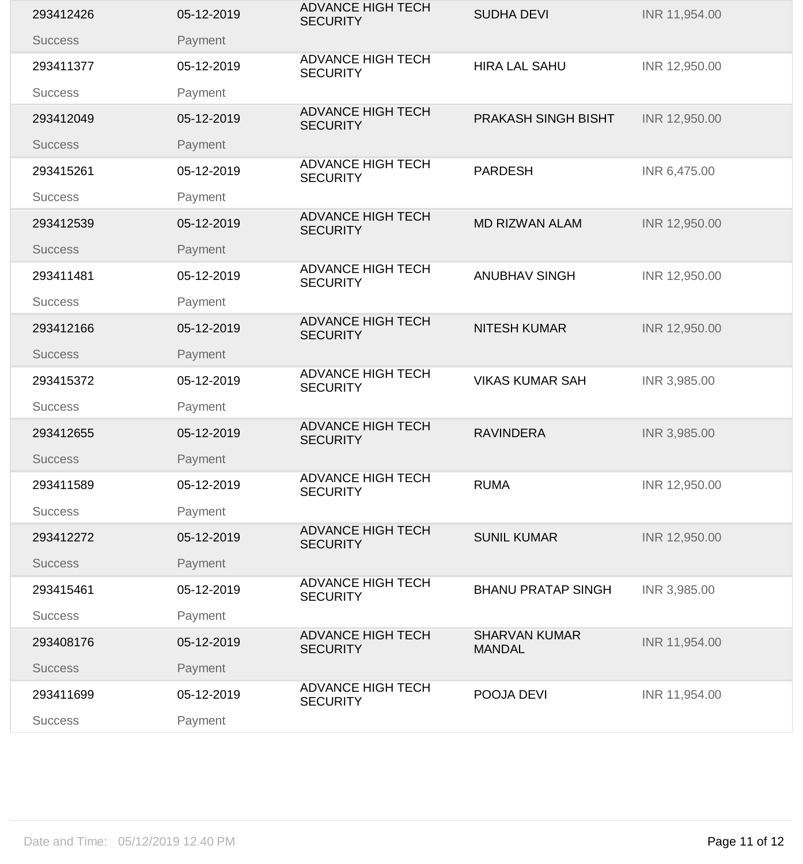| 293412426      | 05-12-2019 | <b>ADVANCE HIGH TECH</b><br><b>SECURITY</b> | <b>SUDHA DEVI</b>                     | INR 11,954.00 |
|----------------|------------|---------------------------------------------|---------------------------------------|---------------|
| <b>Success</b> | Payment    |                                             |                                       |               |
| 293411377      | 05-12-2019 | <b>ADVANCE HIGH TECH</b><br><b>SECURITY</b> | <b>HIRA LAL SAHU</b>                  | INR 12,950.00 |
| <b>Success</b> | Payment    |                                             |                                       |               |
| 293412049      | 05-12-2019 | <b>ADVANCE HIGH TECH</b><br><b>SECURITY</b> | PRAKASH SINGH BISHT                   | INR 12,950.00 |
| <b>Success</b> | Payment    |                                             |                                       |               |
| 293415261      | 05-12-2019 | <b>ADVANCE HIGH TECH</b><br><b>SECURITY</b> | <b>PARDESH</b>                        | INR 6,475.00  |
| <b>Success</b> | Payment    |                                             |                                       |               |
| 293412539      | 05-12-2019 | <b>ADVANCE HIGH TECH</b><br><b>SECURITY</b> | <b>MD RIZWAN ALAM</b>                 | INR 12,950.00 |
| <b>Success</b> | Payment    |                                             |                                       |               |
| 293411481      | 05-12-2019 | <b>ADVANCE HIGH TECH</b><br><b>SECURITY</b> | <b>ANUBHAV SINGH</b>                  | INR 12,950.00 |
| <b>Success</b> | Payment    |                                             |                                       |               |
| 293412166      | 05-12-2019 | <b>ADVANCE HIGH TECH</b><br><b>SECURITY</b> | <b>NITESH KUMAR</b>                   | INR 12,950.00 |
| <b>Success</b> | Payment    |                                             |                                       |               |
| 293415372      | 05-12-2019 | <b>ADVANCE HIGH TECH</b><br><b>SECURITY</b> | <b>VIKAS KUMAR SAH</b>                | INR 3,985.00  |
| <b>Success</b> | Payment    |                                             |                                       |               |
| 293412655      | 05-12-2019 | <b>ADVANCE HIGH TECH</b><br><b>SECURITY</b> | <b>RAVINDERA</b>                      | INR 3,985.00  |
| <b>Success</b> | Payment    |                                             |                                       |               |
| 293411589      | 05-12-2019 | <b>ADVANCE HIGH TECH</b><br><b>SECURITY</b> | <b>RUMA</b>                           | INR 12,950.00 |
| <b>Success</b> | Payment    |                                             |                                       |               |
| 293412272      | 05-12-2019 | <b>ADVANCE HIGH TECH</b><br><b>SECURITY</b> | <b>SUNIL KUMAR</b>                    | INR 12,950.00 |
| <b>Success</b> | Payment    |                                             |                                       |               |
| 293415461      | 05-12-2019 | <b>ADVANCE HIGH TECH</b><br><b>SECURITY</b> | <b>BHANU PRATAP SINGH</b>             | INR 3,985.00  |
| <b>Success</b> | Payment    |                                             |                                       |               |
| 293408176      | 05-12-2019 | <b>ADVANCE HIGH TECH</b><br><b>SECURITY</b> | <b>SHARVAN KUMAR</b><br><b>MANDAL</b> | INR 11,954.00 |
| <b>Success</b> | Payment    |                                             |                                       |               |
| 293411699      | 05-12-2019 | <b>ADVANCE HIGH TECH</b><br><b>SECURITY</b> | POOJA DEVI                            | INR 11,954.00 |
| <b>Success</b> | Payment    |                                             |                                       |               |